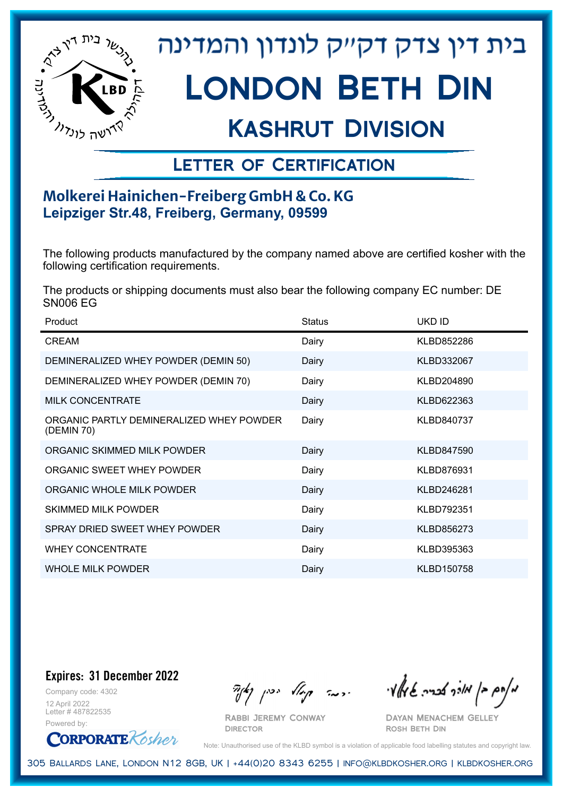

# בית דין צדק דקייק לונדון והמדינה London Beth Din

## Kashrut Division

### Letter of Certification

### **Molkerei Hainichen-Freiberg GmbH & Co. KG Leipziger Str.48, Freiberg, Germany, 09599**

The following products manufactured by the company named above are certified kosher with the following certification requirements.

The products or shipping documents must also bear the following company EC number: DE SN006 EG

| Product                                                | <b>Status</b> | UKD ID     |
|--------------------------------------------------------|---------------|------------|
| <b>CREAM</b>                                           | Dairy         | KLBD852286 |
| DEMINERALIZED WHEY POWDER (DEMIN 50)                   | Dairy         | KLBD332067 |
| DEMINERALIZED WHEY POWDER (DEMIN 70)                   | Dairy         | KLBD204890 |
| <b>MILK CONCENTRATE</b>                                | Dairy         | KLBD622363 |
| ORGANIC PARTLY DEMINERALIZED WHEY POWDER<br>(DEMIN 70) | Dairy         | KLBD840737 |
| ORGANIC SKIMMED MILK POWDER                            | Dairy         | KLBD847590 |
| ORGANIC SWEET WHEY POWDER                              | Dairy         | KLBD876931 |
| ORGANIC WHOLE MILK POWDER                              | Dairy         | KLBD246281 |
| <b>SKIMMED MILK POWDER</b>                             | Dairy         | KLBD792351 |
| SPRAY DRIED SWEET WHEY POWDER                          | Dairy         | KLBD856273 |
| <b>WHEY CONCENTRATE</b>                                | Dairy         | KLBD395363 |
| <b>WHOLE MILK POWDER</b>                               | Dairy         | KLBD150758 |

**Expires: 31 December 2022**

Company code: 4302 12 April 2022 Letter # 487822535 Powered by:



Rabbi Jeremy Conway **DIRECTOR** 

 $\partial_{\eta} \partial_{\eta}$   $\partial_{\eta} \partial_{\eta}$  and  $\partial_{\eta} \partial_{\eta} \partial_{\eta}$  and  $\partial_{\eta} \partial_{\eta} \partial_{\eta}$ 

Dayan Menachem Gelley Rosh Beth Din

Note: Unauthorised use of the KLBD symbol is a violation of applicable food labelling statutes and copyright law.

305 Ballards Lane, London N12 8GB, UK | +44(0)20 8343 6255 | info@klbdkosher.org | klbdkosher.org